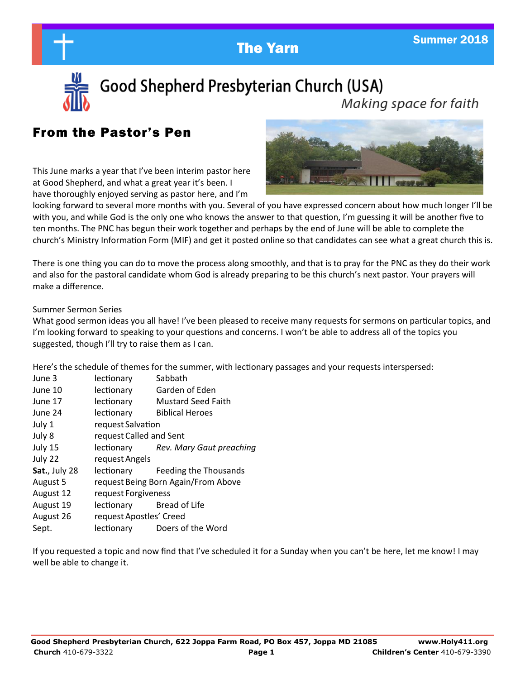



Good Shepherd Presbyterian Church (USA)

Making space for faith

# From the Pastor's Pen

This June marks a year that I've been interim pastor here at Good Shepherd, and what a great year it's been. I have thoroughly enjoyed serving as pastor here, and I'm



looking forward to several more months with you. Several of you have expressed concern about how much longer I'll be with you, and while God is the only one who knows the answer to that question, I'm guessing it will be another five to ten months. The PNC has begun their work together and perhaps by the end of June will be able to complete the church's Ministry Information Form (MIF) and get it posted online so that candidates can see what a great church this is.

There is one thing you can do to move the process along smoothly, and that is to pray for the PNC as they do their work and also for the pastoral candidate whom God is already preparing to be this church's next pastor. Your prayers will make a difference.

#### Summer Sermon Series

What good sermon ideas you all have! I've been pleased to receive many requests for sermons on particular topics, and I'm looking forward to speaking to your questions and concerns. I won't be able to address all of the topics you suggested, though I'll try to raise them as I can.

Here's the schedule of themes for the summer, with lectionary passages and your requests interspersed:

| June 3        | lectionary                          | Sabbath                             |
|---------------|-------------------------------------|-------------------------------------|
| June 10       | lectionary                          | Garden of Eden                      |
| June 17       | lectionary                          | <b>Mustard Seed Faith</b>           |
| June 24       | lectionary                          | <b>Biblical Heroes</b>              |
| July 1        | request Salvation                   |                                     |
| July 8        | request Called and Sent             |                                     |
| July 15       |                                     | lectionary Rev. Mary Gaut preaching |
| July 22       | request Angels                      |                                     |
| Sat., July 28 |                                     | lectionary Feeding the Thousands    |
| August 5      | request Being Born Again/From Above |                                     |
| August 12     | request Forgiveness                 |                                     |
| August 19     | lectionary Bread of Life            |                                     |
| August 26     | request Apostles' Creed             |                                     |
| Sept.         | lectionary                          | Doers of the Word                   |

If you requested a topic and now find that I've scheduled it for a Sunday when you can't be here, let me know! I may well be able to change it.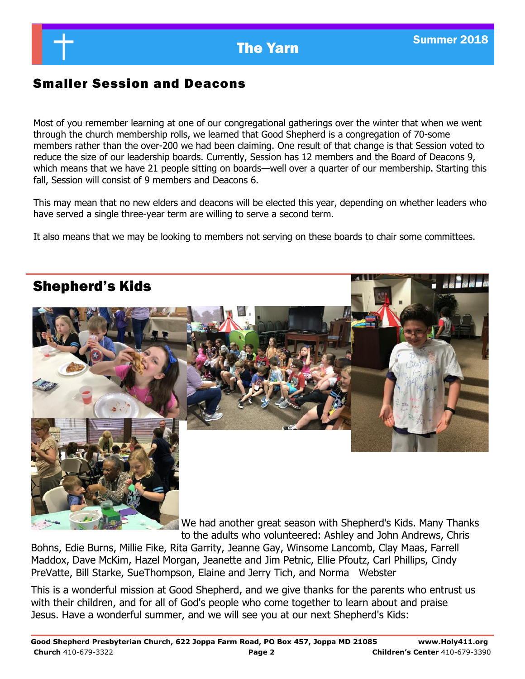# Smaller Session and Deacons

Most of you remember learning at one of our congregational gatherings over the winter that when we went through the church membership rolls, we learned that Good Shepherd is a congregation of 70-some members rather than the over-200 we had been claiming. One result of that change is that Session voted to reduce the size of our leadership boards. Currently, Session has 12 members and the Board of Deacons 9, which means that we have 21 people sitting on boards—well over a quarter of our membership. Starting this fall, Session will consist of 9 members and Deacons 6.

This may mean that no new elders and deacons will be elected this year, depending on whether leaders who have served a single three-year term are willing to serve a second term.

It also means that we may be looking to members not serving on these boards to chair some committees.

# Shepherd's Kids

We had another great season with Shepherd's Kids. Many Thanks to the adults who volunteered: Ashley and John Andrews, Chris

Bohns, Edie Burns, Millie Fike, Rita Garrity, Jeanne Gay, Winsome Lancomb, Clay Maas, Farrell Maddox, Dave McKim, Hazel Morgan, Jeanette and Jim Petnic, Ellie Pfoutz, Carl Phillips, Cindy PreVatte, Bill Starke, SueThompson, Elaine and Jerry Tich, and Norma Webster

This is a wonderful mission at Good Shepherd, and we give thanks for the parents who entrust us with their children, and for all of God's people who come together to learn about and praise Jesus. Have a wonderful summer, and we will see you at our next Shepherd's Kids: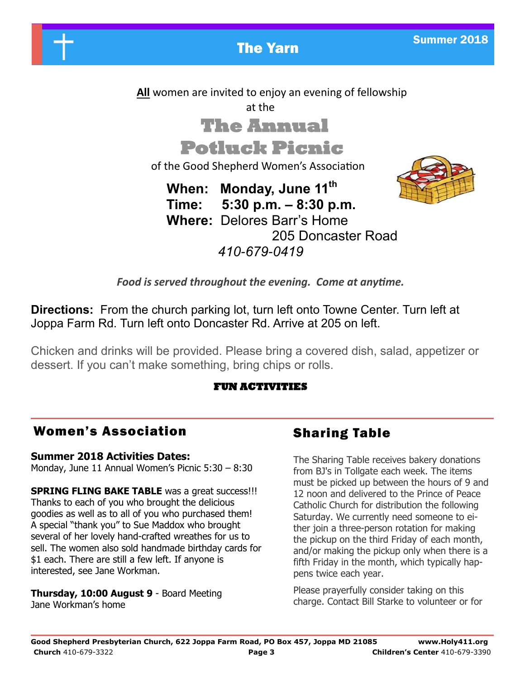

 **All** women are invited to enjoy an evening of fellowship

at the

# **The Annual**

# **Potluck Picnic**

of the Good Shepherd Women's Association

 **When: Monday, June 11th Time: 5:30 p.m. – 8:30 p.m. Where:** Delores Barr's Home 205 Doncaster Road *410-679-0419*



*Food is served throughout the evening. Come at anytime.*

**Directions:** From the church parking lot, turn left onto Towne Center. Turn left at Joppa Farm Rd. Turn left onto Doncaster Rd. Arrive at 205 on left.

Chicken and drinks will be provided. Please bring a covered dish, salad, appetizer or dessert. If you can't make something, bring chips or rolls.

## **FUN ACTIVITIES**

# Women's Association

## **Summer 2018 Activities Dates:**

Monday, June 11 Annual Women's Picnic 5:30 – 8:30

**SPRING FLING BAKE TABLE** was a great success!!! Thanks to each of you who brought the delicious goodies as well as to all of you who purchased them! A special "thank you" to Sue Maddox who brought several of her lovely hand-crafted wreathes for us to sell. The women also sold handmade birthday cards for \$1 each. There are still a few left. If anyone is interested, see Jane Workman.

**Thursday, 10:00 August 9** - Board Meeting Jane Workman's home

# Sharing Table

The Sharing Table receives bakery donations from BJ's in Tollgate each week. The items must be picked up between the hours of 9 and 12 noon and delivered to the Prince of Peace Catholic Church for distribution the following Saturday. We currently need someone to either join a three-person rotation for making the pickup on the third Friday of each month, and/or making the pickup only when there is a fifth Friday in the month, which typically happens twice each year.

Please prayerfully consider taking on this charge. Contact Bill Starke to volunteer or for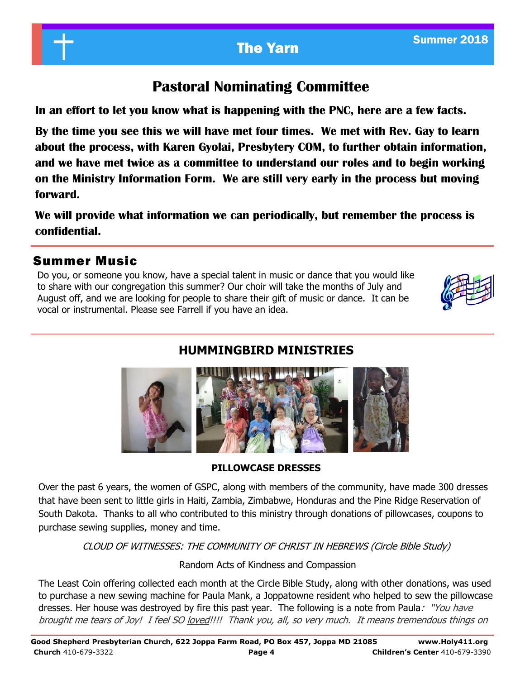# **Pastoral Nominating Committee**

**In an effort to let you know what is happening with the PNC, here are a few facts.**

**By the time you see this we will have met four times. We met with Rev. Gay to learn about the process, with Karen Gyolai, Presbytery COM, to further obtain information, and we have met twice as a committee to understand our roles and to begin working on the Ministry Information Form. We are still very early in the process but moving forward.**

**We will provide what information we can periodically, but remember the process is confidential.** 

## Summer Music

Do you, or someone you know, have a special talent in music or dance that you would like to share with our congregation this summer? Our choir will take the months of July and August off, and we are looking for people to share their gift of music or dance. It can be vocal or instrumental. Please see Farrell if you have an idea.



# **HUMMINGBIRD MINISTRIES**



**PILLOWCASE DRESSES**

Over the past 6 years, the women of GSPC, along with members of the community, have made 300 dresses that have been sent to little girls in Haiti, Zambia, Zimbabwe, Honduras and the Pine Ridge Reservation of South Dakota. Thanks to all who contributed to this ministry through donations of pillowcases, coupons to purchase sewing supplies, money and time.

CLOUD OF WITNESSES: THE COMMUNITY OF CHRIST IN HEBREWS (Circle Bible Study)

Random Acts of Kindness and Compassion

The Least Coin offering collected each month at the Circle Bible Study, along with other donations, was used to purchase a new sewing machine for Paula Mank, a Joppatowne resident who helped to sew the pillowcase dresses. Her house was destroyed by fire this past year. The following is a note from Paula: "You have brought me tears of Joy! I feel SO loved!!!! Thank you, all, so very much. It means tremendous things on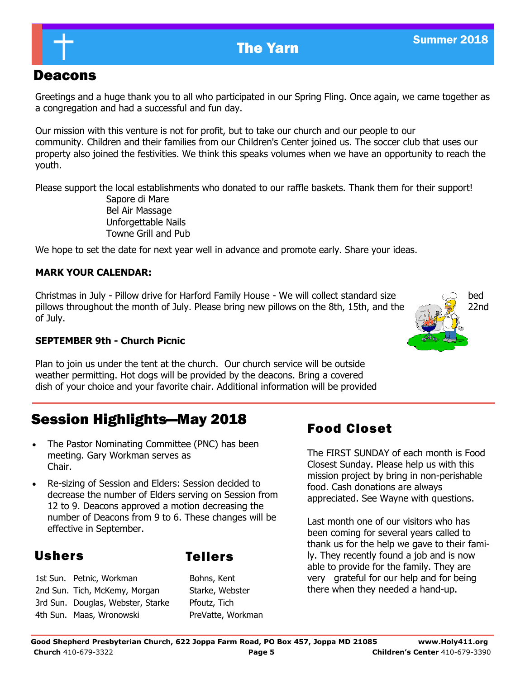# Deacons

Greetings and a huge thank you to all who participated in our Spring Fling. Once again, we came together as a congregation and had a successful and fun day.

Our mission with this venture is not for profit, but to take our church and our people to our community. Children and their families from our Children's Center joined us. The soccer club that uses our property also joined the festivities. We think this speaks volumes when we have an opportunity to reach the youth.

Please support the local establishments who donated to our raffle baskets. Thank them for their support!

 Sapore di Mare Bel Air Massage Unforgettable Nails Towne Grill and Pub

We hope to set the date for next year well in advance and promote early. Share your ideas.

### **MARK YOUR CALENDAR:**

**Christmas in July - Pillow drive for Harford Family House - We will collect standard size bed** bed pillows throughout the month of July. Please bring new pillows on the 8th, 15th, and the  $22$ nd of July.



#### **SEPTEMBER 9th - Church Picnic**

Plan to join us under the tent at the church. Our church service will be outside weather permitting. Hot dogs will be provided by the deacons. Bring a covered dish of your choice and your favorite chair. Additional information will be provided

# Session Highlights—May 2018

- The Pastor Nominating Committee (PNC) has been meeting. Gary Workman serves as Chair.
- Re-sizing of Session and Elders: Session decided to decrease the number of Elders serving on Session from 12 to 9. Deacons approved a motion decreasing the number of Deacons from 9 to 6. These changes will be effective in September.

# Ushers Tellers

1st Sun. Petnic, Workman Bohns, Kent 2nd Sun. Tich, McKemy, Morgan Starke, Webster 3rd Sun. Douglas, Webster, Starke Pfoutz, Tich 4th Sun. Maas, Wronowski PreVatte, Workman

# Food Closet

The FIRST SUNDAY of each month is Food Closest Sunday. Please help us with this mission project by bring in non-perishable food. Cash donations are always appreciated. See Wayne with questions.

Last month one of our visitors who has been coming for several years called to thank us for the help we gave to their family. They recently found a job and is now able to provide for the family. They are very grateful for our help and for being there when they needed a hand-up.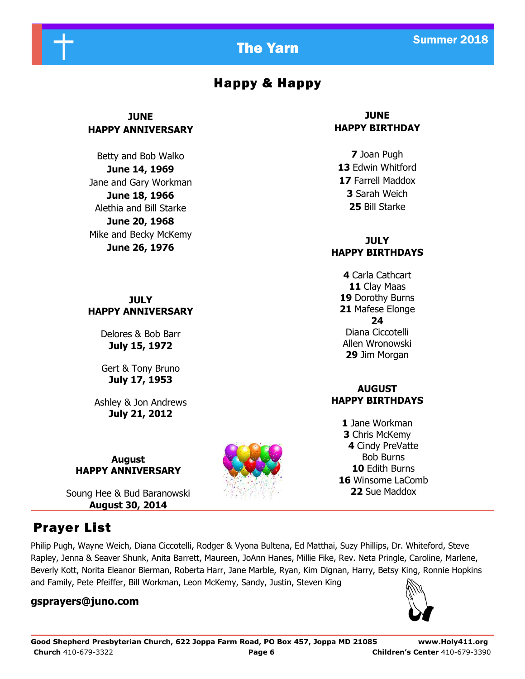



# Happy & Happy

### **JUNE HAPPY ANNIVERSARY**

Betty and Bob Walko **June 14, 1969** Jane and Gary Workman **June 18, 1966** Alethia and Bill Starke **June 20, 1968** Mike and Becky McKemy **June 26, 1976**

**JULY HAPPY ANNIVERSARY**

> Delores & Bob Barr **July 15, 1972**

> Gert & Tony Bruno **July 17, 1953**

Ashley & Jon Andrews **July 21, 2012**

**August HAPPY ANNIVERSARY**

Soung Hee & Bud Baranowski **August 30, 2014**

# Prayer List

Philip Pugh, Wayne Weich, Diana Ciccotelli, Rodger & Vyona Bultena, Ed Matthai, Suzy Phillips, Dr. Whiteford, Steve Rapley, Jenna & Seaver Shunk, Anita Barrett, Maureen, JoAnn Hanes, Millie Fike, Rev. Neta Pringle, Caroline, Marlene, Beverly Kott, Norita Eleanor Bierman, Roberta Harr, Jane Marble, Ryan, Kim Dignan, Harry, Betsy King, Ronnie Hopkins and Family, Pete Pfeiffer, Bill Workman, Leon McKemy, Sandy, Justin, Steven King

#### **gsprayers@juno.com**

# **JUNE**

# **HAPPY BIRTHDAY**

Joan Pugh Edwin Whitford Farrell Maddox Sarah Weich Bill Starke

#### **JULY HAPPY BIRTHDAYS**

Carla Cathcart Clay Maas Dorothy Burns Mafese Elonge **24** Diana Ciccotelli Allen Wronowski Jim Morgan

### **AUGUST HAPPY BIRTHDAYS**

Jane Workman Chris McKemy Cindy PreVatte Bob Burns Edith Burns Winsome LaComb Sue Maddox